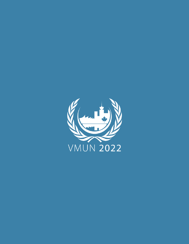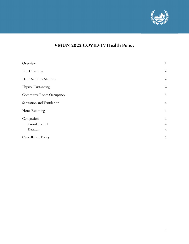

# **VMUN 2022 COVID-19 Health Policy**

| Overview                       | $\boldsymbol{2}$ |
|--------------------------------|------------------|
| <b>Face Coverings</b>          | $\boldsymbol{2}$ |
| <b>Hand Sanitizer Stations</b> | $\boldsymbol{2}$ |
| Physical Distancing            | $\boldsymbol{2}$ |
| Committee Room Occupancy       | 3                |
| Sanitation and Ventilation     | $4\phantom{1}$   |
| <b>Hotel Rooming</b>           | $4\phantom{1}$   |
| Congestion                     | $4\phantom{1}$   |
| Crowd Control                  | $\overline{4}$   |
| Elevators                      | $\overline{4}$   |
| <b>Cancellation Policy</b>     | 5                |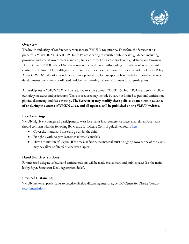

# <span id="page-2-0"></span>**Overview**

The health and safety of conference participants are VMUN's top priority. Therefore, the Secretariat has prepared VMUN 2022's COVID-19 Health Policy adhering to available public health guidance, including provincial and federal government mandates, BC Centre for Disease Control event guidelines, and Provincial Health Officer (PHO) orders. Over the course of the next few months leading up to the conference, we will continue to follow public health guidance to improve the efficacy and comprehensiveness of our Health Policy. As the COVID-19 situation continues to develop, we will tailor our approach as needed and consider all new developments to ensure a coordinated health effort, creating a safe environment for all participants.

All participants at VMUN 2022 will be required to adhere to our COVID-19 Health Policy and strictly follow our safety measures and procedures. These procedures may include but are not limited to personal sanitization, physical distancing, and face coverings. **The Secretariat may modify these policies at any time in advance of or during the course of VMUN 2022, and all updates will be published on the VMUN website.**

#### <span id="page-2-1"></span>**Face Coverings**

VMUN highly encourages all participants to wear face masks in all conference spaces at all times. Face masks should conform with the following BC Centre for Disease Control guidelines, found [here](http://www.bccdc.ca/health-info/diseases-conditions/covid-19/prevention-risks/masks):

- Cover the mouth and nose and go under the chin;
- Fit tightly with no gaps (consider adjustable masks);
- Have a minimum of 3 layers. If the mask is fabric, the material must be tightly-woven; one of the layers may be a filter or filter fabric between layers.

#### <span id="page-2-2"></span>**Hand Sanitizer Stations**

For increased delegate safety, hand sanitizer stations will be made available around public spaces (i.e. the main lobby, foyer, Secretariat Desk, registration desks).

# <span id="page-2-3"></span>**Physical Distancing**

VMUN invites all participants to practice physical distancing measures, per BC Centre for Disease Control [recommendations.](http://www.bccdc.ca/health-info/diseases-conditions/covid-19/prevention-risks/physical-distancing)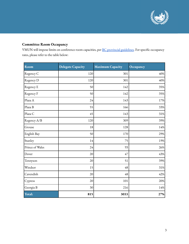

# <span id="page-3-0"></span>**Committee Room Occupancy**

VMUN will impose limits on conference room capacities, per BC provincial [guidelines.](https://www2.gov.bc.ca/gov/content/covid-19/info/restrictions) For specific occupancy rates, please refer to the table below:

| Room            | <b>Delegate Capacity</b> | <b>Maximum Capacity</b> | Occupancy |
|-----------------|--------------------------|-------------------------|-----------|
| Regency C       | 120                      | 301                     | 40%       |
| Regency D       | 120                      | 301                     | 40%       |
| Regency E       | 50                       | 142                     | 35%       |
| Regency F       | 50                       | 142                     | 35%       |
| Plaza A         | 24                       | 143                     | 17%       |
| Plaza B         | 55                       | 166                     | 33%       |
| Plaza C         | 45                       | 143                     | 31%       |
| Regency A/B     | 120                      | 309                     | 39%       |
| Grouse          | 18                       | 128                     | $14\%$    |
| English Bay     | 50                       | 170                     | 29%       |
| Stanley         | 14                       | 75                      | 19%       |
| Prince of Wales | 24                       | 93                      | 26%       |
| Dover           | 20                       | 47                      | 43%       |
| Tennyson        | 20                       | 51                      | 39%       |
| Windsor         | 15                       | 48                      | 31%       |
| Cavendish       | 20                       | 48                      | 42%       |
| Cypress         | 20                       | 101                     | 20%       |
| Georgia B       | 30                       | 216                     | 14%       |
| Total:          | 815                      | 3033                    | 27%       |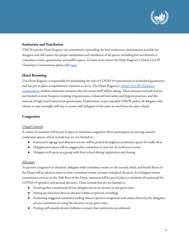

#### <span id="page-4-0"></span>**Sanitation and Ventilation**

VMUN and the Hyatt Regency are committed to providing the best conference environments possible for delegates and will ensure the proper sanitization and ventilation of all spaces, including but not limited to committee rooms, guestrooms, and public spaces. To learn more about the Hyatt Regency's *Global Care & Cleanliness Commitment*, please refer [here.](https://www.hyatt.com/info/global-care-and-cleanliness-commitment)

# <span id="page-4-1"></span>**Hotel Rooming**

The Hyatt Regency is responsible for minimizing the risk of COVID-19 transmission in individual guestrooms and has put in place comprehensive measures to do so. The Hyatt Regency's *Global Care & [Cleanliness](https://www.hyatt.com/info/global-care-and-cleanliness-commitment) [Commitment](https://www.hyatt.com/info/global-care-and-cleanliness-commitment)* outlines numerous measures that the venue itself will be taking. These measures include but are not limited to more frequent cleaning of guestrooms, enhanced food safety and hygiene practices, and the removal of high-touch items from guestrooms. Furthermore, as per standard VMUN policy, all delegates who choose to stay overnight will stay in rooms with delegates of the same sex and from the same school.

# <span id="page-4-2"></span>**Congestion**

#### <span id="page-4-3"></span>*Crowd Control*

A variety of measures will be put in place to minimize congestion when participants are moving around conference spaces, which include but are not limited to:

- Instruction signage and direction arrows will be posted throughout conference spaces for traffic flow;
- Delegate movement will be staggered by committee in and out of conference rooms;
- Delegates will move as a group with their school during registration and closing.

#### <span id="page-4-4"></span>*Elevators*

To prevent congestion in elevators, delegates with committee rooms on the second, third, and fourth floors of the Hyatt will be asked to travel to their committee rooms via stairs instead of elevators. For delegates whose committees convene on the 34th floor of the Hyatt, measures will be put in place to minimize the potential for COVID-19 spread in and around elevators. These include but are not limited to:

- Ensuring that a maximum of four delegates are in an elevator at any given time;
- Setting up stanchion lines in elevator lobbies to prevent crowding;
- Instituting staggered committee ending times to prevent congestion and ensure that only the delegates; of one committee are using the elevators at any given time;
- Posting staff outside elevator lobbies to ensure that restrictions are enforced.